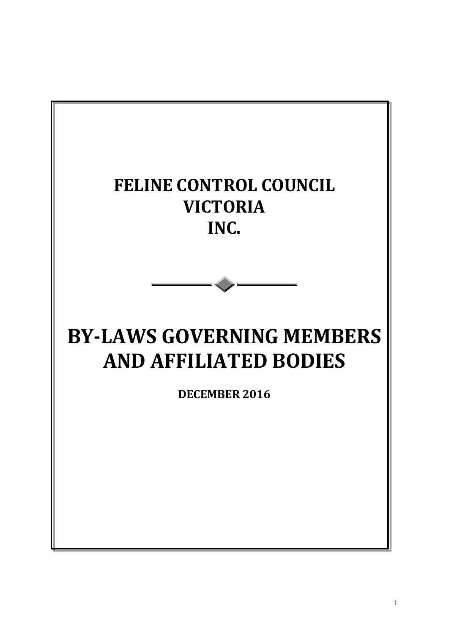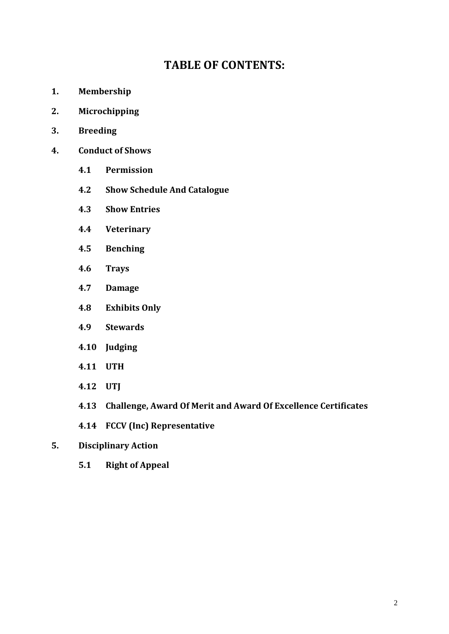# **TABLE OF CONTENTS:**

- **1. Membership**
- **2. Microchipping**
- **3. Breeding**
- **4. Conduct of Shows**
	- **4.1 Permission**
	- **4.2 Show Schedule And Catalogue**
	- **4.3 Show Entries**
	- **4.4 Veterinary**
	- **4.5 Benching**
	- **4.6 Trays**
	- **4.7 Damage**
	- **4.8 Exhibits Only**
	- **4.9 Stewards**
	- **4.10 Judging**
	- **4.11 UTH**
	- **4.12 UTJ**
	- **4.13 Challenge, Award Of Merit and Award Of Excellence Certificates**
	- **4.14 FCCV (Inc) Representative**
- **5. Disciplinary Action**
	- **5.1 Right of Appeal**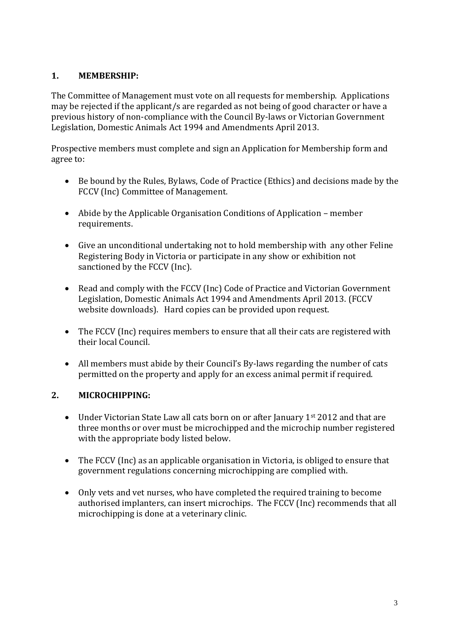### **1. MEMBERSHIP:**

The Committee of Management must vote on all requests for membership. Applications may be rejected if the applicant/s are regarded as not being of good character or have a previous history of non-compliance with the Council By-laws or Victorian Government Legislation, Domestic Animals Act 1994 and Amendments April 2013.

Prospective members must complete and sign an Application for Membership form and agree to:

- Be bound by the Rules, Bylaws, Code of Practice (Ethics) and decisions made by the FCCV (Inc) Committee of Management.
- Abide by the Applicable Organisation Conditions of Application member requirements.
- Give an unconditional undertaking not to hold membership with any other Feline Registering Body in Victoria or participate in any show or exhibition not sanctioned by the FCCV (Inc).
- Read and comply with the FCCV (Inc) Code of Practice and Victorian Government Legislation, Domestic Animals Act 1994 and Amendments April 2013. (FCCV website downloads). Hard copies can be provided upon request.
- The FCCV (Inc) requires members to ensure that all their cats are registered with their local Council.
- All members must abide by their Council's By-laws regarding the number of cats permitted on the property and apply for an excess animal permit if required.

# **2. MICROCHIPPING:**

- Under Victorian State Law all cats born on or after January 1<sup>st</sup> 2012 and that are three months or over must be microchipped and the microchip number registered with the appropriate body listed below.
- The FCCV (Inc) as an applicable organisation in Victoria, is obliged to ensure that government regulations concerning microchipping are complied with.
- Only vets and vet nurses, who have completed the required training to become authorised implanters, can insert microchips. The FCCV (Inc) recommends that all microchipping is done at a veterinary clinic.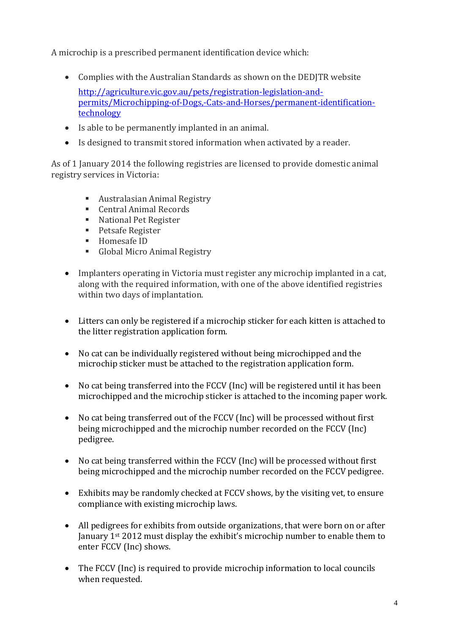A microchip is a prescribed permanent identification device which:

- Complies with the Australian Standards as shown on the DEDJTR website [http://agriculture.vic.gov.au/pets/registration-legislation-and](http://agriculture.vic.gov.au/pets/registration-legislation-and-permits/Microchipping-of-Dogs,-Cats-and-Horses/permanent-identification-technology)[permits/Microchipping-of-Dogs,-Cats-and-Horses/permanent-identification](http://agriculture.vic.gov.au/pets/registration-legislation-and-permits/Microchipping-of-Dogs,-Cats-and-Horses/permanent-identification-technology)[technology](http://agriculture.vic.gov.au/pets/registration-legislation-and-permits/Microchipping-of-Dogs,-Cats-and-Horses/permanent-identification-technology)
- Is able to be permanently implanted in an animal.
- Is designed to transmit stored information when activated by a reader.

As of 1 January 2014 the following registries are licensed to provide domestic animal registry services in Victoria:

- [Australasian Animal Registry](http://www.aar.org.au/)
- [Central Animal Records](http://www.car.com.au/)
- [National Pet Register](http://www.petregister.com.au/)
- **[Petsafe Register](http://www.petsafe.com.au/)**
- [Homesafe ID](http://www.homesafeid.com/)
- [Global Micro Animal Registry](https://www.globalmicro.com.au/)
- Implanters operating in Victoria must register any microchip implanted in a cat, along with the required information, with one of the above identified registries within two days of implantation.
- Litters can only be registered if a microchip sticker for each kitten is attached to the litter registration application form.
- No cat can be individually registered without being microchipped and the microchip sticker must be attached to the registration application form.
- No cat being transferred into the FCCV (Inc) will be registered until it has been microchipped and the microchip sticker is attached to the incoming paper work.
- No cat being transferred out of the FCCV (Inc) will be processed without first being microchipped and the microchip number recorded on the FCCV (Inc) pedigree.
- No cat being transferred within the FCCV (Inc) will be processed without first being microchipped and the microchip number recorded on the FCCV pedigree.
- Exhibits may be randomly checked at FCCV shows, by the visiting vet, to ensure compliance with existing microchip laws.
- All pedigrees for exhibits from outside organizations, that were born on or after January 1st 2012 must display the exhibit's microchip number to enable them to enter FCCV (Inc) shows.
- The FCCV (Inc) is required to provide microchip information to local councils when requested.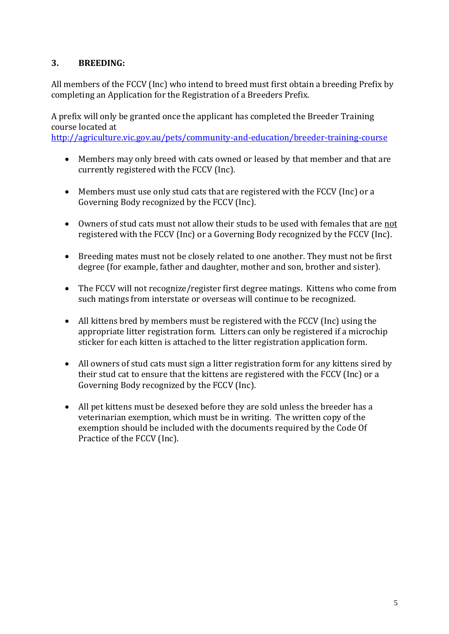#### **3. BREEDING:**

All members of the FCCV (Inc) who intend to breed must first obtain a breeding Prefix by completing an Application for the Registration of a Breeders Prefix.

A prefix will only be granted once the applicant has completed the Breeder Training course located at

<http://agriculture.vic.gov.au/pets/community-and-education/breeder-training-course>

- Members may only breed with cats owned or leased by that member and that are currently registered with the FCCV (Inc).
- Members must use only stud cats that are registered with the FCCV (Inc) or a Governing Body recognized by the FCCV (Inc).
- Owners of stud cats must not allow their studs to be used with females that are not registered with the FCCV (Inc) or a Governing Body recognized by the FCCV (Inc).
- Breeding mates must not be closely related to one another. They must not be first degree (for example, father and daughter, mother and son, brother and sister).
- The FCCV will not recognize/register first degree matings. Kittens who come from such matings from interstate or overseas will continue to be recognized.
- All kittens bred by members must be registered with the FCCV (Inc) using the appropriate litter registration form. Litters can only be registered if a microchip sticker for each kitten is attached to the litter registration application form.
- All owners of stud cats must sign a litter registration form for any kittens sired by their stud cat to ensure that the kittens are registered with the FCCV (Inc) or a Governing Body recognized by the FCCV (Inc).
- All pet kittens must be desexed before they are sold unless the breeder has a veterinarian exemption, which must be in writing. The written copy of the exemption should be included with the documents required by the Code Of Practice of the FCCV (Inc).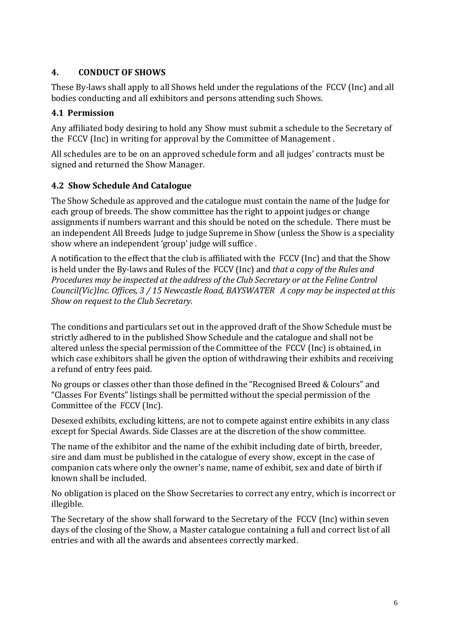### **4. CONDUCT OF SHOWS**

These By-laws shall apply to all Shows held under the regulations of the FCCV (Inc) and all bodies conducting and all exhibitors and persons attending such Shows.

### **4.1 Permission**

Any affiliated body desiring to hold any Show must submit a schedule to the Secretary of the FCCV (Inc) in writing for approval by the Committee of Management .

All schedules are to be on an approved schedule form and all judges' contracts must be signed and returned the Show Manager.

### **4.2 Show Schedule And Catalogue**

The Show Schedule as approved and the catalogue must contain the name of the Judge for each group of breeds. The show committee has the right to appoint judges or change assignments if numbers warrant and this should be noted on the schedule. There must be an independent All Breeds Judge to judge Supreme in Show (unless the Show is a speciality show where an independent 'group' judge will suffice .

A notification to the effect that the club is affiliated with the FCCV (Inc) and that the Show is held under the By-laws and Rules of the FCCV (Inc) and *that a copy of the Rules and Procedures may be inspected at the address of the Club Secretary or at the Feline Control Council(Vic)Inc. Offices, 3 / 15 Newcastle Road, BAYSWATER A copy may be inspected at this Show on request to the Club Secretary.*

The conditions and particulars set out in the approved draft of the Show Schedule must be strictly adhered to in the published Show Schedule and the catalogue and shall not be altered unless the special permission of the Committee of the FCCV (Inc) is obtained, in which case exhibitors shall be given the option of withdrawing their exhibits and receiving a refund of entry fees paid.

No groups or classes other than those defined in the "Recognised Breed & Colours" and "Classes For Events" listings shall be permitted without the special permission of the Committee of the FCCV (Inc).

Desexed exhibits, excluding kittens, are not to compete against entire exhibits in any class except for Special Awards. Side Classes are at the discretion of the show committee.

The name of the exhibitor and the name of the exhibit including date of birth, breeder, sire and dam must be published in the catalogue of every show, except in the case of companion cats where only the owner's name, name of exhibit, sex and date of birth if known shall be included.

No obligation is placed on the Show Secretaries to correct any entry, which is incorrect or illegible.

The Secretary of the show shall forward to the Secretary of the FCCV (Inc) within seven days of the closing of the Show, a Master catalogue containing a full and correct list of all entries and with all the awards and absentees correctly marked.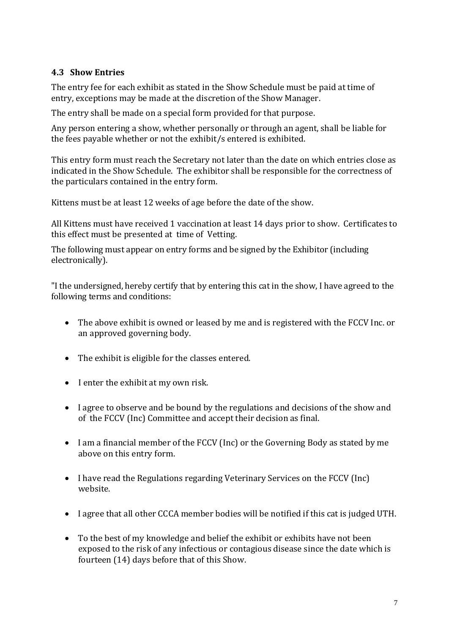#### **4.3 Show Entries**

The entry fee for each exhibit as stated in the Show Schedule must be paid at time of entry, exceptions may be made at the discretion of the Show Manager.

The entry shall be made on a special form provided for that purpose.

Any person entering a show, whether personally or through an agent, shall be liable for the fees payable whether or not the exhibit/s entered is exhibited.

This entry form must reach the Secretary not later than the date on which entries close as indicated in the Show Schedule. The exhibitor shall be responsible for the correctness of the particulars contained in the entry form.

Kittens must be at least 12 weeks of age before the date of the show.

All Kittens must have received 1 vaccination at least 14 days prior to show. Certificates to this effect must be presented at time of Vetting.

The following must appear on entry forms and be signed by the Exhibitor (including electronically).

"I the undersigned, hereby certify that by entering this cat in the show, I have agreed to the following terms and conditions:

- The above exhibit is owned or leased by me and is registered with the FCCV Inc. or an approved governing body.
- The exhibit is eligible for the classes entered.
- I enter the exhibit at my own risk.
- I agree to observe and be bound by the regulations and decisions of the show and of the FCCV (Inc) Committee and accept their decision as final.
- I am a financial member of the FCCV (Inc) or the Governing Body as stated by me above on this entry form.
- I have read the Regulations regarding Veterinary Services on the FCCV (Inc) website.
- I agree that all other CCCA member bodies will be notified if this cat is judged UTH.
- To the best of my knowledge and belief the exhibit or exhibits have not been exposed to the risk of any infectious or contagious disease since the date which is fourteen (14) days before that of this Show.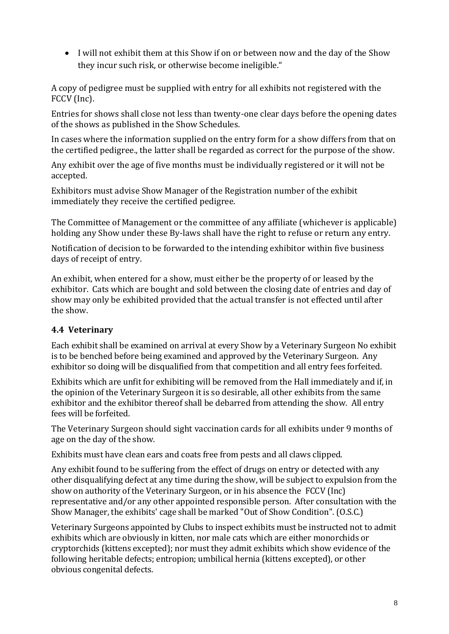I will not exhibit them at this Show if on or between now and the day of the Show they incur such risk, or otherwise become ineligible."

A copy of pedigree must be supplied with entry for all exhibits not registered with the FCCV (Inc).

Entries for shows shall close not less than twenty-one clear days before the opening dates of the shows as published in the Show Schedules.

In cases where the information supplied on the entry form for a show differs from that on the certified pedigree., the latter shall be regarded as correct for the purpose of the show.

Any exhibit over the age of five months must be individually registered or it will not be accepted.

Exhibitors must advise Show Manager of the Registration number of the exhibit immediately they receive the certified pedigree.

The Committee of Management or the committee of any affiliate (whichever is applicable) holding any Show under these By-laws shall have the right to refuse or return any entry.

Notification of decision to be forwarded to the intending exhibitor within five business days of receipt of entry.

An exhibit, when entered for a show, must either be the property of or leased by the exhibitor. Cats which are bought and sold between the closing date of entries and day of show may only be exhibited provided that the actual transfer is not effected until after the show.

#### **4.4 Veterinary**

Each exhibit shall be examined on arrival at every Show by a Veterinary Surgeon No exhibit is to be benched before being examined and approved by the Veterinary Surgeon. Any exhibitor so doing will be disqualified from that competition and all entry fees forfeited.

Exhibits which are unfit for exhibiting will be removed from the Hall immediately and if, in the opinion of the Veterinary Surgeon it is so desirable, all other exhibits from the same exhibitor and the exhibitor thereof shall be debarred from attending the show. All entry fees will be forfeited.

The Veterinary Surgeon should sight vaccination cards for all exhibits under 9 months of age on the day of the show.

Exhibits must have clean ears and coats free from pests and all claws clipped.

Any exhibit found to be suffering from the effect of drugs on entry or detected with any other disqualifying defect at any time during the show, will be subject to expulsion from the show on authority of the Veterinary Surgeon, or in his absence the FCCV (Inc) representative and/or any other appointed responsible person. After consultation with the Show Manager, the exhibits' cage shall be marked "Out of Show Condition". (O.S.C.)

Veterinary Surgeons appointed by Clubs to inspect exhibits must be instructed not to admit exhibits which are obviously in kitten, nor male cats which are either monorchids or cryptorchids (kittens excepted); nor must they admit exhibits which show evidence of the following heritable defects; entropion; umbilical hernia (kittens excepted), or other obvious congenital defects.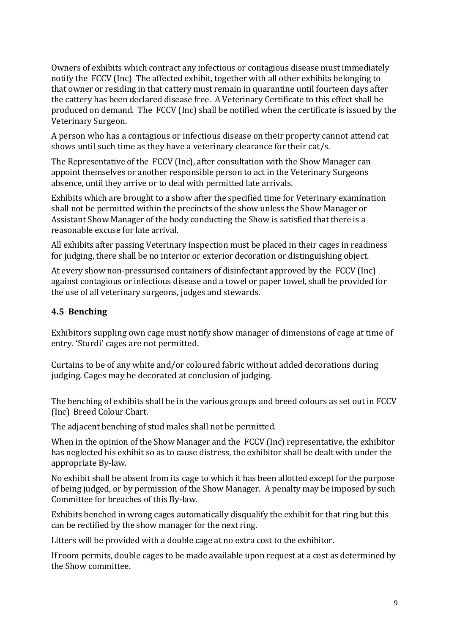Owners of exhibits which contract any infectious or contagious disease must immediately notify the FCCV (Inc) The affected exhibit, together with all other exhibits belonging to that owner or residing in that cattery must remain in quarantine until fourteen days after the cattery has been declared disease free. A Veterinary Certificate to this effect shall be produced on demand. The FCCV (Inc) shall be notified when the certificate is issued by the Veterinary Surgeon.

A person who has a contagious or infectious disease on their property cannot attend cat shows until such time as they have a veterinary clearance for their cat/s.

The Representative of the FCCV (Inc), after consultation with the Show Manager can appoint themselves or another responsible person to act in the Veterinary Surgeons absence, until they arrive or to deal with permitted late arrivals.

Exhibits which are brought to a show after the specified time for Veterinary examination shall not be permitted within the precincts of the show unless the Show Manager or Assistant Show Manager of the body conducting the Show is satisfied that there is a reasonable excuse for late arrival.

All exhibits after passing Veterinary inspection must be placed in their cages in readiness for judging, there shall be no interior or exterior decoration or distinguishing object.

At every show non-pressurised containers of disinfectant approved by the FCCV (Inc) against contagious or infectious disease and a towel or paper towel, shall be provided for the use of all veterinary surgeons, judges and stewards.

#### **4.5 Benching**

Exhibitors suppling own cage must notify show manager of dimensions of cage at time of entry. 'Sturdi' cages are not permitted.

Curtains to be of any white and/or coloured fabric without added decorations during judging. Cages may be decorated at conclusion of judging.

The benching of exhibits shall be in the various groups and breed colours as set out in FCCV (Inc) Breed Colour Chart.

The adjacent benching of stud males shall not be permitted.

When in the opinion of the Show Manager and the FCCV (Inc) representative, the exhibitor has neglected his exhibit so as to cause distress, the exhibitor shall be dealt with under the appropriate By-law.

No exhibit shall be absent from its cage to which it has been allotted except for the purpose of being judged, or by permission of the Show Manager. A penalty may be imposed by such Committee for breaches of this By-law.

Exhibits benched in wrong cages automatically disqualify the exhibit for that ring but this can be rectified by the show manager for the next ring.

Litters will be provided with a double cage at no extra cost to the exhibitor.

If room permits, double cages to be made available upon request at a cost as determined by the Show committee.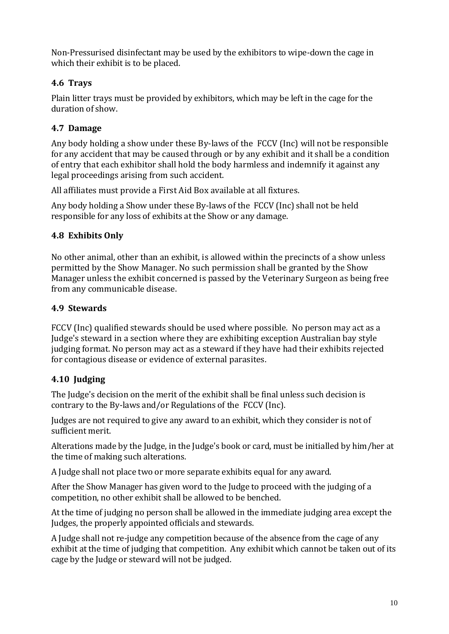Non-Pressurised disinfectant may be used by the exhibitors to wipe-down the cage in which their exhibit is to be placed.

### **4.6 Trays**

Plain litter trays must be provided by exhibitors, which may be left in the cage for the duration of show.

# **4.7 Damage**

Any body holding a show under these By-laws of the FCCV (Inc) will not be responsible for any accident that may be caused through or by any exhibit and it shall be a condition of entry that each exhibitor shall hold the body harmless and indemnify it against any legal proceedings arising from such accident.

All affiliates must provide a First Aid Box available at all fixtures.

Any body holding a Show under these By-laws of the FCCV (Inc) shall not be held responsible for any loss of exhibits at the Show or any damage.

# **4.8 Exhibits Only**

No other animal, other than an exhibit, is allowed within the precincts of a show unless permitted by the Show Manager. No such permission shall be granted by the Show Manager unless the exhibit concerned is passed by the Veterinary Surgeon as being free from any communicable disease.

# **4.9 Stewards**

FCCV (Inc) qualified stewards should be used where possible. No person may act as a Judge's steward in a section where they are exhibiting exception Australian bay style judging format. No person may act as a steward if they have had their exhibits rejected for contagious disease or evidence of external parasites.

# **4.10 Judging**

The Judge's decision on the merit of the exhibit shall be final unless such decision is contrary to the By-laws and/or Regulations of the FCCV (Inc).

Judges are not required to give any award to an exhibit, which they consider is not of sufficient merit.

Alterations made by the Judge, in the Judge's book or card, must be initialled by him/her at the time of making such alterations.

A Judge shall not place two or more separate exhibits equal for any award.

After the Show Manager has given word to the Judge to proceed with the judging of a competition, no other exhibit shall be allowed to be benched.

At the time of judging no person shall be allowed in the immediate judging area except the Judges, the properly appointed officials and stewards.

A Judge shall not re-judge any competition because of the absence from the cage of any exhibit at the time of judging that competition. Any exhibit which cannot be taken out of its cage by the Judge or steward will not be judged.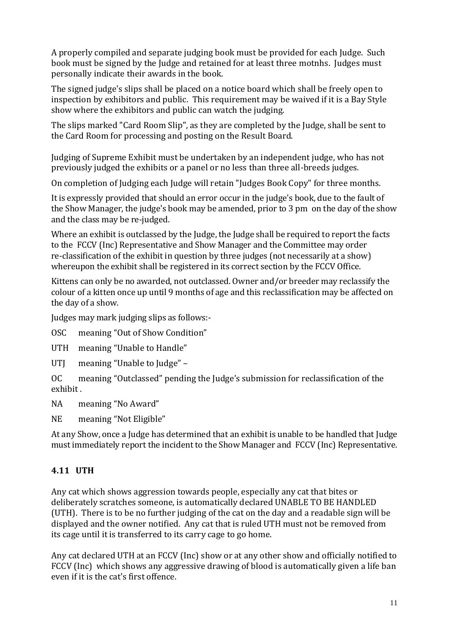A properly compiled and separate judging book must be provided for each Judge. Such book must be signed by the Judge and retained for at least three motnhs. Judges must personally indicate their awards in the book.

The signed judge's slips shall be placed on a notice board which shall be freely open to inspection by exhibitors and public. This requirement may be waived if it is a Bay Style show where the exhibitors and public can watch the judging.

The slips marked "Card Room Slip", as they are completed by the Judge, shall be sent to the Card Room for processing and posting on the Result Board.

Judging of Supreme Exhibit must be undertaken by an independent judge, who has not previously judged the exhibits or a panel or no less than three all-breeds judges.

On completion of Judging each Judge will retain "Judges Book Copy" for three months.

It is expressly provided that should an error occur in the judge's book, due to the fault of the Show Manager, the judge's book may be amended, prior to 3 pm on the day of the show and the class may be re-judged.

Where an exhibit is outclassed by the Judge, the Judge shall be required to report the facts to the FCCV (Inc) Representative and Show Manager and the Committee may order re-classification of the exhibit in question by three judges (not necessarily at a show) whereupon the exhibit shall be registered in its correct section by the FCCV Office.

Kittens can only be no awarded, not outclassed. Owner and/or breeder may reclassify the colour of a kitten once up until 9 months of age and this reclassification may be affected on the day of a show.

Judges may mark judging slips as follows:-

OSC meaning "Out of Show Condition"

UTH meaning "Unable to Handle"

UTJ meaning "Unable to Judge" –

OC meaning "Outclassed" pending the Judge's submission for reclassification of the exhibit .

NA meaning "No Award"

NE meaning "Not Eligible"

At any Show, once a Judge has determined that an exhibit is unable to be handled that Judge must immediately report the incident to the Show Manager and FCCV (Inc) Representative.

# **4.11 UTH**

Any cat which shows aggression towards people, especially any cat that bites or deliberately scratches someone, is automatically declared UNABLE TO BE HANDLED (UTH). There is to be no further judging of the cat on the day and a readable sign will be displayed and the owner notified. Any cat that is ruled UTH must not be removed from its cage until it is transferred to its carry cage to go home.

Any cat declared UTH at an FCCV (Inc) show or at any other show and officially notified to FCCV (Inc) which shows any aggressive drawing of blood is automatically given a life ban even if it is the cat's first offence.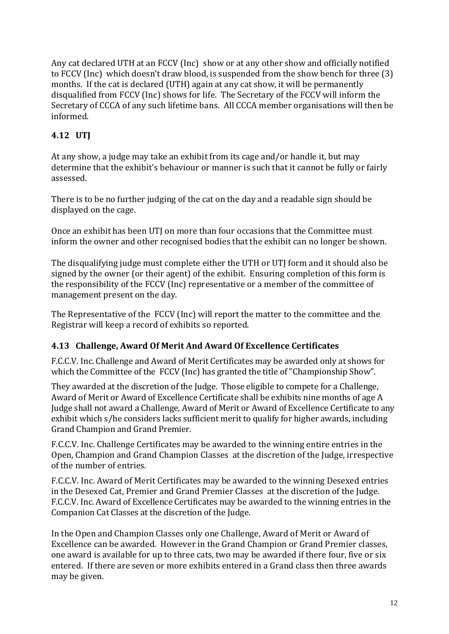Any cat declared UTH at an FCCV (Inc) show or at any other show and officially notified to FCCV (Inc) which doesn't draw blood, is suspended from the show bench for three (3) months. If the cat is declared (UTH) again at any cat show, it will be permanently disqualified from FCCV (Inc) shows for life. The Secretary of the FCCV will inform the Secretary of CCCA of any such lifetime bans. All CCCA member organisations will then be informed.

# **4.12 UTJ**

At any show, a judge may take an exhibit from its cage and/or handle it, but may determine that the exhibit's behaviour or manner is such that it cannot be fully or fairly assessed.

There is to be no further judging of the cat on the day and a readable sign should be displayed on the cage.

Once an exhibit has been UTJ on more than four occasions that the Committee must inform the owner and other recognised bodies that the exhibit can no longer be shown.

The disqualifying judge must complete either the UTH or UTJ form and it should also be signed by the owner (or their agent) of the exhibit. Ensuring completion of this form is the responsibility of the FCCV (Inc) representative or a member of the committee of management present on the day.

The Representative of the FCCV (Inc) will report the matter to the committee and the Registrar will keep a record of exhibits so reported.

# **4.13 Challenge, Award Of Merit And Award Of Excellence Certificates**

F.C.C.V. Inc. Challenge and Award of Merit Certificates may be awarded only at shows for which the Committee of the FCCV (Inc) has granted the title of "Championship Show".

They awarded at the discretion of the Judge. Those eligible to compete for a Challenge, Award of Merit or Award of Excellence Certificate shall be exhibits nine months of age A Judge shall not award a Challenge, Award of Merit or Award of Excellence Certificate to any exhibit which s/he considers lacks sufficient merit to qualify for higher awards, including Grand Champion and Grand Premier.

F.C.C.V. Inc. Challenge Certificates may be awarded to the winning entire entries in the Open, Champion and Grand Champion Classes at the discretion of the Judge, irrespective of the number of entries.

F.C.C.V. Inc. Award of Merit Certificates may be awarded to the winning Desexed entries in the Desexed Cat, Premier and Grand Premier Classes at the discretion of the Judge. F.C.C.V. Inc. Award of Excellence Certificates may be awarded to the winning entries in the Companion Cat Classes at the discretion of the Judge.

In the Open and Champion Classes only one Challenge, Award of Merit or Award of Excellence can be awarded. However in the Grand Champion or Grand Premier classes, one award is available for up to three cats, two may be awarded if there four, five or six entered. If there are seven or more exhibits entered in a Grand class then three awards may be given.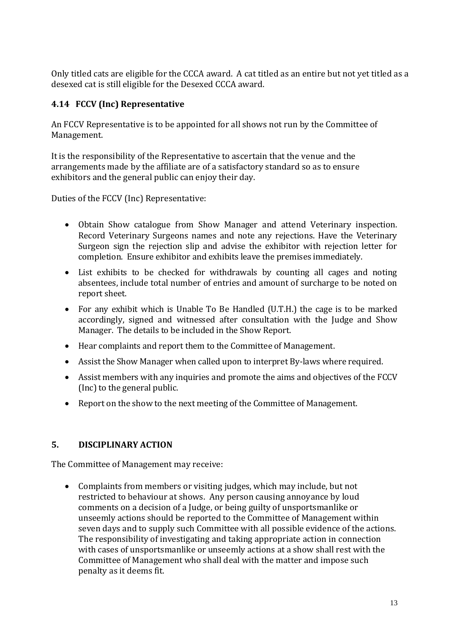Only titled cats are eligible for the CCCA award. A cat titled as an entire but not yet titled as a desexed cat is still eligible for the Desexed CCCA award.

# **4.14 FCCV (Inc) Representative**

An FCCV Representative is to be appointed for all shows not run by the Committee of Management.

It is the responsibility of the Representative to ascertain that the venue and the arrangements made by the affiliate are of a satisfactory standard so as to ensure exhibitors and the general public can enjoy their day.

Duties of the FCCV (Inc) Representative:

- Obtain Show catalogue from Show Manager and attend Veterinary inspection. Record Veterinary Surgeons names and note any rejections. Have the Veterinary Surgeon sign the rejection slip and advise the exhibitor with rejection letter for completion. Ensure exhibitor and exhibits leave the premises immediately.
- List exhibits to be checked for withdrawals by counting all cages and noting absentees, include total number of entries and amount of surcharge to be noted on report sheet.
- For any exhibit which is Unable To Be Handled (U.T.H.) the cage is to be marked accordingly, signed and witnessed after consultation with the Judge and Show Manager. The details to be included in the Show Report.
- Hear complaints and report them to the Committee of Management.
- Assist the Show Manager when called upon to interpret By-laws where required.
- Assist members with any inquiries and promote the aims and objectives of the FCCV (Inc) to the general public.
- Report on the show to the next meeting of the Committee of Management.

# **5. DISCIPLINARY ACTION**

The Committee of Management may receive:

 Complaints from members or visiting judges, which may include, but not restricted to behaviour at shows. Any person causing annoyance by loud comments on a decision of a Judge, or being guilty of unsportsmanlike or unseemly actions should be reported to the Committee of Management within seven days and to supply such Committee with all possible evidence of the actions. The responsibility of investigating and taking appropriate action in connection with cases of unsportsmanlike or unseemly actions at a show shall rest with the Committee of Management who shall deal with the matter and impose such penalty as it deems fit.